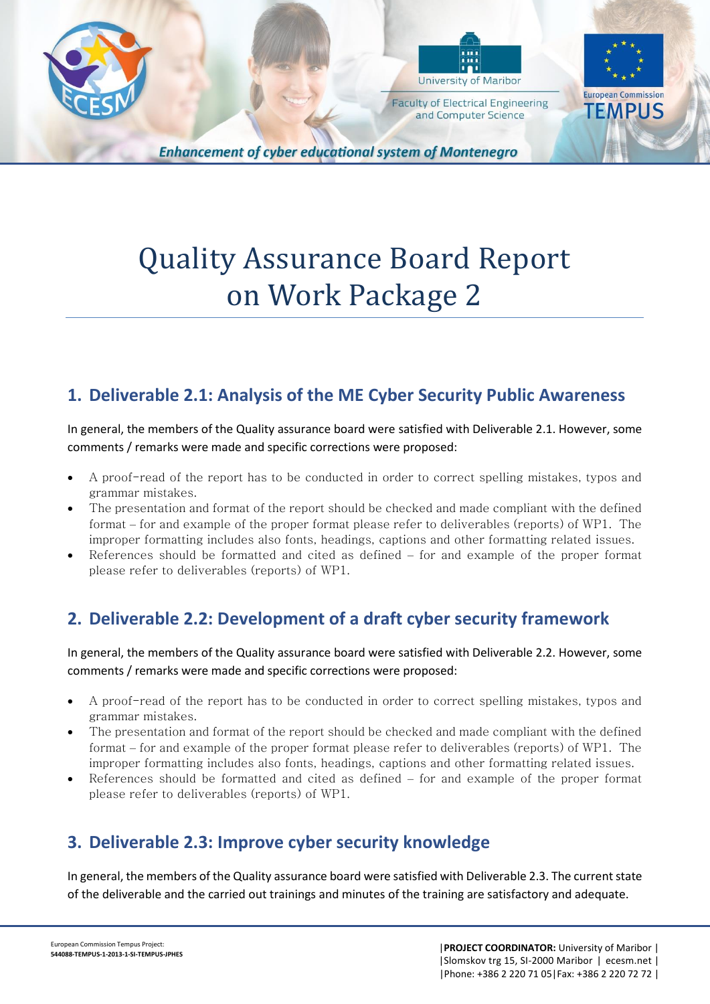



and Computer Science

**European Commission TEMPUS** 

**Enhancement of cyber educational system of Montenegro** 

# Quality Assurance Board Report on Work Package 2

#### **1. Deliverable 2.1: Analysis of the ME Cyber Security Public Awareness**

In general, the members of the Quality assurance board were satisfied with Deliverable 2.1. However, some comments / remarks were made and specific corrections were proposed:

- A proof-read of the report has to be conducted in order to correct spelling mistakes, typos and grammar mistakes.
- The presentation and format of the report should be checked and made compliant with the defined format – for and example of the proper format please refer to deliverables (reports) of WP1. The improper formatting includes also fonts, headings, captions and other formatting related issues.
- References should be formatted and cited as defined for and example of the proper format please refer to deliverables (reports) of WP1.

## **2. Deliverable 2.2: Development of a draft cyber security framework**

In general, the members of the Quality assurance board were satisfied with Deliverable 2.2. However, some comments / remarks were made and specific corrections were proposed:

- A proof-read of the report has to be conducted in order to correct spelling mistakes, typos and grammar mistakes.
- The presentation and format of the report should be checked and made compliant with the defined format – for and example of the proper format please refer to deliverables (reports) of WP1. The improper formatting includes also fonts, headings, captions and other formatting related issues.
- References should be formatted and cited as defined for and example of the proper format please refer to deliverables (reports) of WP1.

### **3. Deliverable 2.3: Improve cyber security knowledge**

In general, the members of the Quality assurance board were satisfied with Deliverable 2.3. The current state of the deliverable and the carried out trainings and minutes of the training are satisfactory and adequate.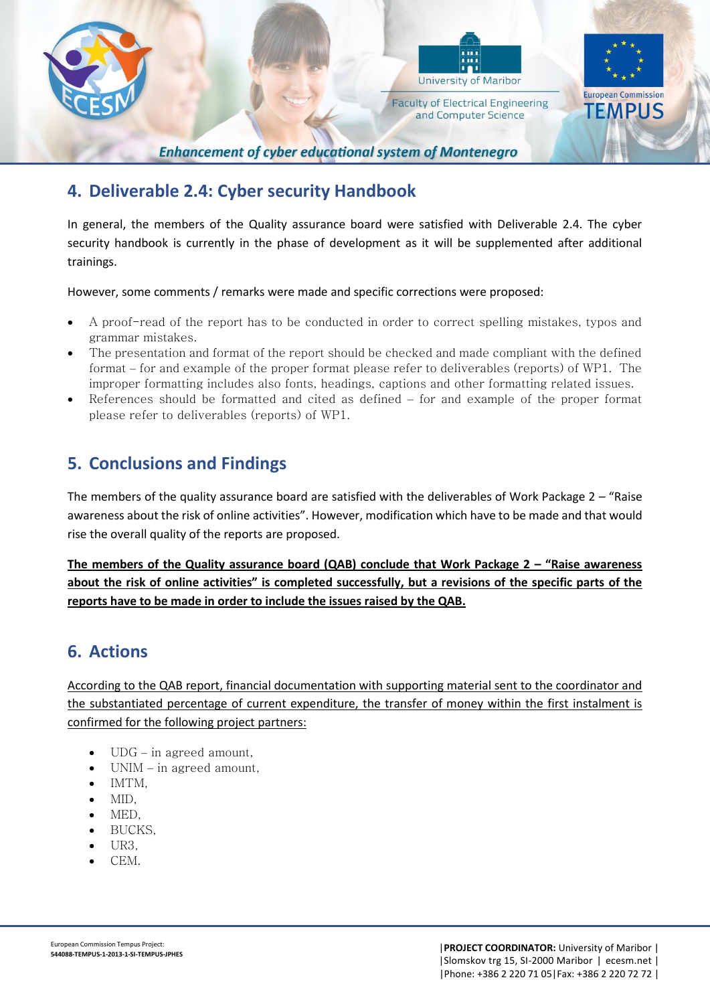



**Faculty of Electrical Engineering** and Computer Science



**Enhancement of cyber educational system of Montenegro** 

### **4. Deliverable 2.4: Cyber security Handbook**

In general, the members of the Quality assurance board were satisfied with Deliverable 2.4. The cyber security handbook is currently in the phase of development as it will be supplemented after additional trainings.

However, some comments / remarks were made and specific corrections were proposed:

- A proof-read of the report has to be conducted in order to correct spelling mistakes, typos and grammar mistakes.
- The presentation and format of the report should be checked and made compliant with the defined format – for and example of the proper format please refer to deliverables (reports) of WP1. The improper formatting includes also fonts, headings, captions and other formatting related issues.
- References should be formatted and cited as defined for and example of the proper format please refer to deliverables (reports) of WP1.

## **5. Conclusions and Findings**

The members of the quality assurance board are satisfied with the deliverables of Work Package  $2 - r$ Raise awareness about the risk of online activities". However, modification which have to be made and that would rise the overall quality of the reports are proposed.

**The members of the Quality assurance board (QAB) conclude that Work Package 2 – "Raise awareness about the risk of online activities" is completed successfully, but a revisions of the specific parts of the reports have to be made in order to include the issues raised by the QAB.**

### **6. Actions**

According to the QAB report, financial documentation with supporting material sent to the coordinator and the substantiated percentage of current expenditure, the transfer of money within the first instalment is confirmed for the following project partners:

- UDG in agreed amount,
- $\bullet$  UNIM in agreed amount,
- $\bullet$  IMTM.
- MID,
- MED,
- BUCKS,
- UR3,
- CEM.